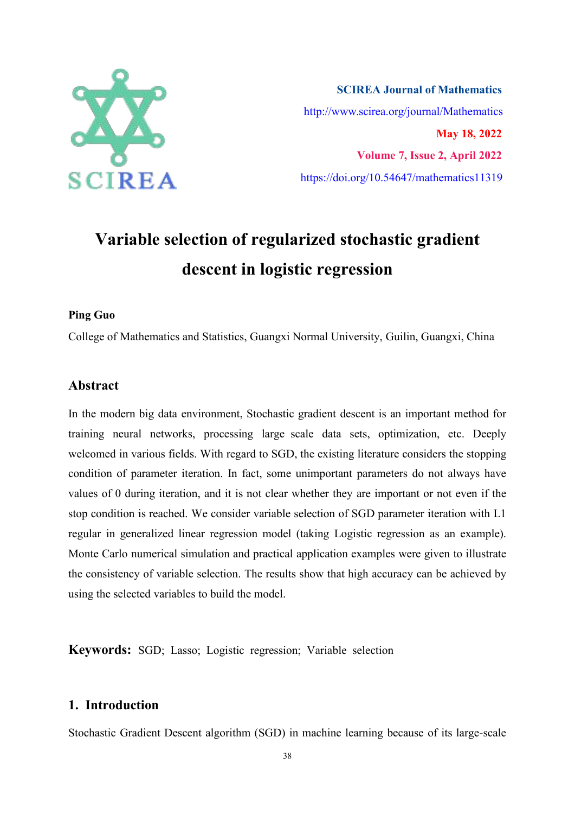

**SCIREA Journal of Mathematics** http://www.scirea.org/journal/Mathematics **May 18, 2022 Volume 7, Issue 2, April 2022** https://doi.org/10.54647/mathematics11319

# **Variable selection of regularized stochastic gradient descent in logistic regression**

#### **Ping Guo**

College of Mathematics and Statistics, Guangxi Normal University, Guilin, Guangxi, China

## **Abstract**

In the modern big data environment, Stochastic gradient descent is an important method for training neural networks, processing large scale data sets, optimization, etc. Deeply welcomed in various fields. With regard to SGD, the existing literature considers the stopping condition of parameter iteration. In fact, some unimportant parameters do not always have values of 0 during iteration, and it is not clear whether they are important or not even if the stop condition is reached. We consider variable selection of SGD parameter iteration with L1 regular in generalized linear regression model (taking Logistic regression as an example). Monte Carlo numerical simulation and practical application examples were given to illustrate the consistency of variable selection. The results show that high accuracy can be achieved by using the selected variables to build the model.

**Keywords:** SGD; Lasso; Logistic regression; Variable selection

# **1. Introduction**

Stochastic Gradient Descent algorithm (SGD) in machine learning because of its large-scale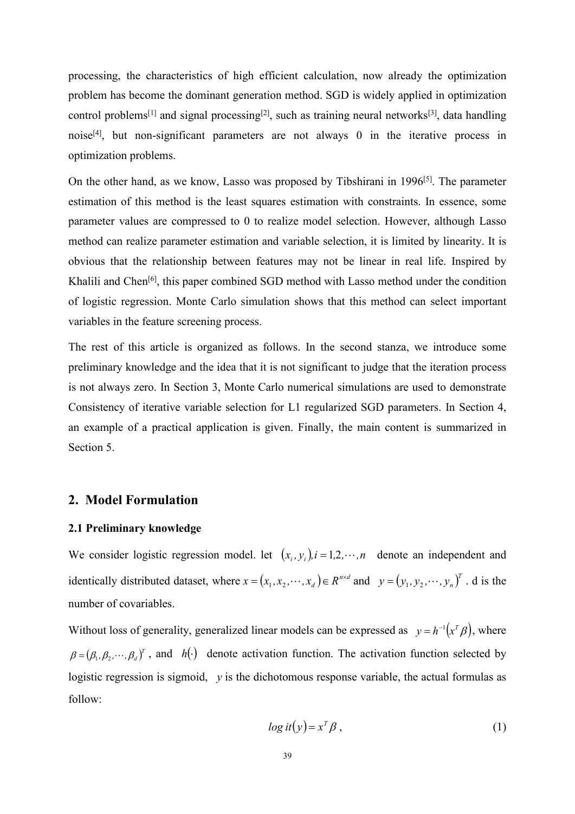processing, the characteristics of high efficient calculation, now already the optimization problem has become the dominant generation method. SGD is widely applied in optimization control problems<sup>[1]</sup> and signal processing<sup>[2]</sup>, such as training neural networks<sup>[3]</sup>, data handling noise [4], but non-significant parameters are not always 0 in the iterative process in optimization problems.

On the other hand, as we know, Lasso was proposed by Tibshirani in 1996<sup>[5]</sup>. The parameter estimation of this method is the least squares estimation with constraints. In essence, some parameter values are compressed to 0 to realize model selection. However, although Lasso method can realize parameter estimation and variable selection, it is limited by linearity. It is obvious that the relationship between features may not be linear in real life. Inspired by Khalili and Chen<sup>[6]</sup>, this paper combined SGD method with Lasso method under the condition of logistic regression. Monte Carlo simulation shows that this method can select important variables in the feature screening process.

The rest of this article is organized as follows. In the second stanza, we introduce some preliminary knowledge and the idea that it is not significant to judge thatthe iteration process is not always zero. In Section 3, Monte Carlo numerical simulations are used to demonstrate Consistency of iterative variable selection for L1 regularized SGD parameters. In Section 4, an example of a practical application is given. Finally, the main content is summarized in Section 5.

### **2. Model Formulation**

#### **2.1 Preliminary knowledge**

We consider logistic regression model. let  $(x_i, y_i)$ ,  $i = 1, 2, \dots, n$  denote an independent and identically distributed dataset, where  $x = (x_1, x_2, \dots, x_d) \in R^{n \times d}$  and  $y = (y_1, y_2, \dots, y_n)^T$ . d is the number of covariables.

Without loss of generality, generalized linear models can be expressed as  $y = h^{-1}(x^T \beta)$ , where  $\beta = (\beta_1, \beta_2, \dots, \beta_d)^T$ , and *h*( $\cdot$ ) denote activation function. The activation function selected by logistic regression is sigmoid, *y* is the dichotomous response variable, the actual formulas as follow:

$$
log it(y) = x^T \beta , \qquad (1)
$$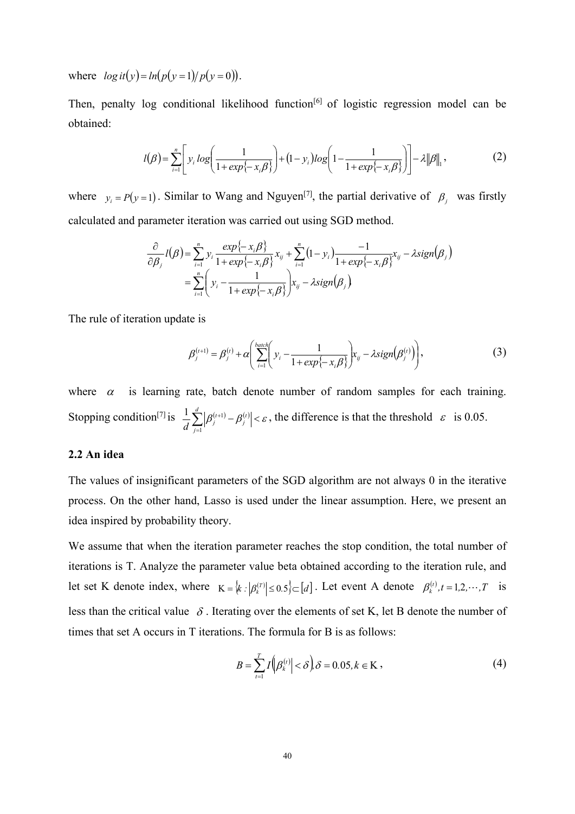where  $log it(y) = ln(p(y = 1) / p(y = 0)).$ 

Then, penalty log conditional likelihood function<sup>[6]</sup> of logistic regression model can be obtained:

$$
l(\beta) = \sum_{i=1}^{n} \left[ y_i \log \left( \frac{1}{1 + \exp\{-x_i \beta\}} \right) + (1 - y_i) \log \left( 1 - \frac{1}{1 + \exp\{-x_i \beta\}} \right) \right] - \lambda \|\beta\|_1,
$$
 (2)

where  $y_i = P(y=1)$ . Similar to Wang and Nguyen<sup>[7]</sup>, the partial derivative of  $\beta_j$  was firstly calculated and parameter iteration was carried out using SGD method.

$$
\frac{\partial}{\partial \beta_j} l(\beta) = \sum_{i=1}^n y_i \frac{\exp\{-x_i \beta\}}{1 + \exp\{-x_i \beta\}} x_{ij} + \sum_{i=1}^n (1 - y_i) \frac{-1}{1 + \exp\{-x_i \beta\}} x_{ij} - \lambda sign(\beta_j)
$$
  
= 
$$
\sum_{i=1}^n \left( y_i - \frac{1}{1 + \exp\{-x_i \beta\}} \right) x_{ij} - \lambda sign(\beta_j)
$$

The rule of iteration update is

$$
\beta_j^{(t+1)} = \beta_j^{(t)} + \alpha \left( \sum_{i=1}^{\text{batch}} \left( y_i - \frac{1}{1 + \exp\{-x_i \beta\}} \right) x_{ij} - \lambda sign(\beta_j^{(t)}) \right),\tag{3}
$$

where  $\alpha$  is learning rate, batch denote number of random samples for each training. Stopping condition<sup>[7]</sup> is  $\frac{1}{d} \sum_{j=1}^{n} |\beta_j^{(i+1)} - \beta_j^{(i)}| < \varepsilon$ , the difference is that the threshold  $\varepsilon$  is 0.05.  $\sum_{i=1}^{d} |g^{(t+1)} - g^{(t)}| < \epsilon$  the difference *j*  $\frac{1}{d} \sum_{j=1}^{d} |\beta_j^{(t+1)} - \beta_j^{(t)}| < \varepsilon$ , the difference is that the threshold  $\varepsilon$  is 0.05.

#### **2.2 An idea**

The values of insignificant parameters of the SGD algorithm are not always 0 in the iterative process. On the other hand, Lasso is used under the linear assumption. Here, we present an idea inspired by probability theory.

We assume that when the iteration parameter reaches the stop condition, the total number of iterations is T. Analyze the parameter value beta obtained according to the iteration rule, and let set K denote index, where  $K = \{k : |\beta_k^{(T)}| \le 0.5\} \subset [d]$ . Let event A denote  $\beta_k^{(t)}, t = 1, 2, \dots, T$  is less than the critical value  $\delta$ . Iterating over the elements of set K, let B denote the number of times that set A occurs in T iterations. The formula for B is as follows:

$$
B = \sum_{t=1}^{T} I\left(\left|\beta_k^{(t)}\right| < \delta\right), \delta = 0.05, k \in \mathcal{K},\tag{4}
$$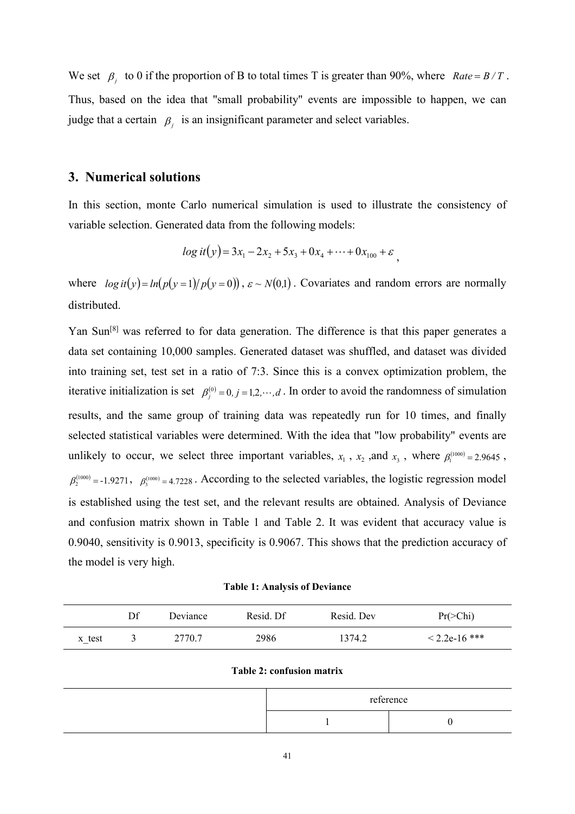We set  $\beta_j$  to 0 if the proportion of B to total times T is greater than 90%, where *Rate* =  $B/T$ . Thus, based on the idea that "small probability" events are impossible to happen, we can judge that a certain  $\beta_i$  is an insignificant parameter and select variables.

#### **3. Numerical solutions**

In this section, monte Carlo numerical simulation is used to illustrate the consistency of variable selection. Generated data from the following models:

$$
log it(y) = 3x_1 - 2x_2 + 5x_3 + 0x_4 + \dots + 0x_{100} + \varepsilon
$$

where  $log it(y) = ln(p(y=1)/p(y=0))$ ,  $\varepsilon \sim N(0,1)$ . Covariates and random errors are normally distributed.

Yan Sun<sup>[8]</sup> was referred to for data generation. The difference is that this paper generates a data set containing 10,000 samples. Generated dataset was shuffled, and dataset was divided into training set, test set in a ratio of 7:3. Since this is a convex optimization problem, the iterative initialization is set  $\beta_j^{(0)} = 0, j = 1, 2, \dots, d$ . In order to avoid the randomness of simulation results, and the same group of training data was repeatedly run for 10 times, and finally selected statistical variables were determined. With the idea that "low probability" events are unlikely to occur, we select three important variables,  $x_1$ ,  $x_2$ , and  $x_3$ , where  $\beta_1^{(1000)} = 2.9645$ ,  $\beta_2^{(1000)} = -1.9271$ ,  $\beta_3^{(1000)} = 4.7228$ . According to the selected variables, the logistic regression model is established using the test set, and the relevant results are obtained. Analysis of Deviance and confusion matrix shown in Table 1 and Table 2. It was evident that accuracy value is 0.9040, sensitivity is 0.9013, specificity is 0.9067. This shows that the prediction accuracy of the model is very high.

**Table 1: Analysis of Deviance**

|                  | Df | <b>Deviance</b>    | Resid. Df | Resid. Dev | $Pr(\geq Chi)$  |
|------------------|----|--------------------|-----------|------------|-----------------|
| x test<br>$\sim$ |    | 2770.7<br>$\sim$ 1 | 2986      | 1374.2     | $< 2.2e-16$ *** |

#### **Table 2: confusion matrix**

| reference |  |  |
|-----------|--|--|
|           |  |  |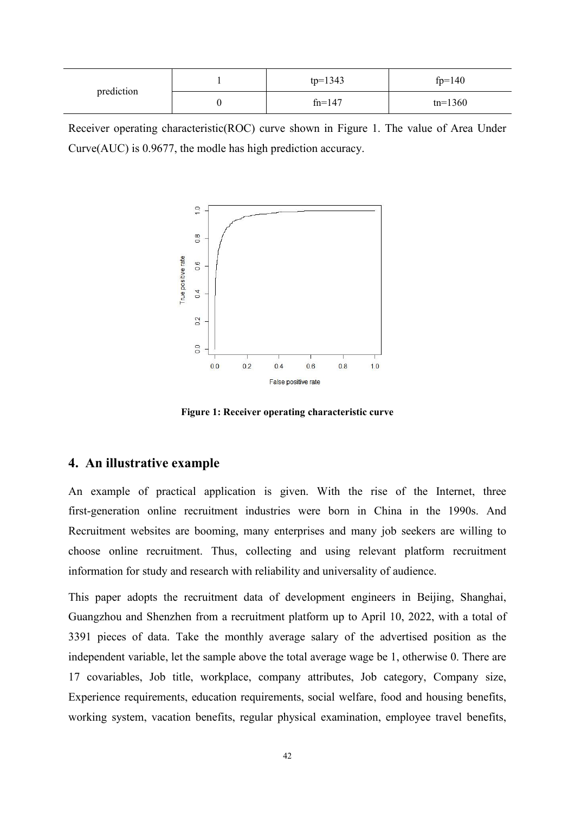|            | $tp=1343$ | $fp=140$  |
|------------|-----------|-----------|
| prediction | $fn=147$  | $tn=1360$ |

Receiver operating characteristic(ROC) curve shown in Figure 1. The value of Area Under Curve(AUC) is 0.9677, the modle has high prediction accuracy.



**Figure 1: Receiver operating characteristic curve**

## **4. An illustrative example**

An example of practical application is given. With the rise of the Internet, three first-generation online recruitment industries were born in China in the 1990s. And Recruitment websites are booming, many enterprises and many job seekers are willing to choose online recruitment. Thus, collecting and using relevant platform recruitment information for study and research with reliability and universality of audience.

This paper adopts the recruitment data of development engineers in Beijing, Shanghai, Guangzhou and Shenzhen from a recruitment platform up to April 10, 2022, with a total of 3391 pieces of data. Take the monthly average salary of the advertised position as the independent variable, let the sample above the total average wage be 1, otherwise 0. There are 17 covariables, Job title, workplace, company attributes, Job category, Company size, Experience requirements, education requirements, social welfare, food and housing benefits, working system, vacation benefits, regular physical examination, employee travel benefits,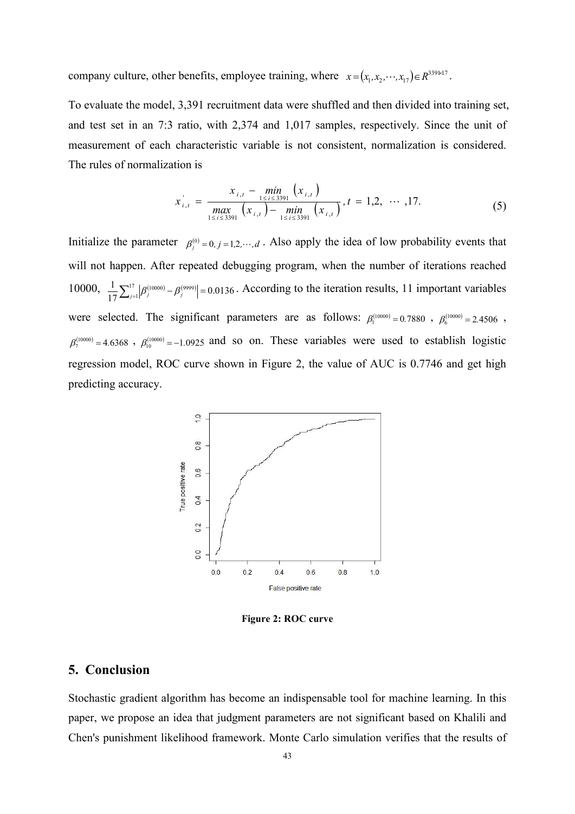company culture, other benefits, employee training, where  $x = (x_1, x_2, \dots, x_{17}) \in R^{339 \times 17}$ .

To evaluate the model, 3,391 recruitment data were shuffled and then divided into training set, and test set in an 7:3 ratio, with 2,374 and 1,017 samples, respectively. Since the unit of measurement of each characteristic variable is not consistent, normalization is considered. The rules of normalization is

$$
x'_{i,t} = \frac{x_{i,t} - \min_{1 \le i \le 3391} (x_{i,t})}{\max_{1 \le i \le 3391} (x_{i,t}) - \min_{1 \le i \le 3391} (x_{i,t})}, t = 1,2, \dots, 17.
$$
 (5)

Initialize the parameter  $\beta_j^{(0)} = 0, j = 1, 2, \dots, d$ . Also apply the idea of low probability events that will not happen. After repeated debugging program, when the number of iterations reached 10000,  $\frac{1}{17}\sum_{j=1}^{17} |\beta_j^{(10000)} - \beta_j^{(9999)}| = 0.0136$ . According to the iteration results, 11  $1 \nabla^{17}$   $\left| \rho^{(10000)} \right|$   $\rho^{(9999)}$   $\rho^{(9126)}$  According 1  $\sum_{j=1}^{17} |\beta_j^{(10000)} - \beta_j^{(9999)}| = 0.0136$ . According to the iteration results, 11 important variables were selected. The significant parameters are as follows:  $\beta_1^{(10000)} = 0.7880$ ,  $\beta_6^{(10000)} = 2.4506$ , ,  $\beta_7^{(10000)} = 4.6368$ ,  $\beta_{10}^{(10000)} = -1.0925$  and so on. These variables were used to establish logistic regression model, ROC curve shown in Figure 2, the value of AUC is 0.7746 and get high predicting accuracy.



**Figure 2: ROC curve**

## **5. Conclusion**

Stochastic gradient algorithm has become an indispensable tool for machine learning. In this paper, we propose an idea that judgment parameters are not significant based on Khalili and Chen's punishment likelihood framework. Monte Carlo simulation verifies that the results of